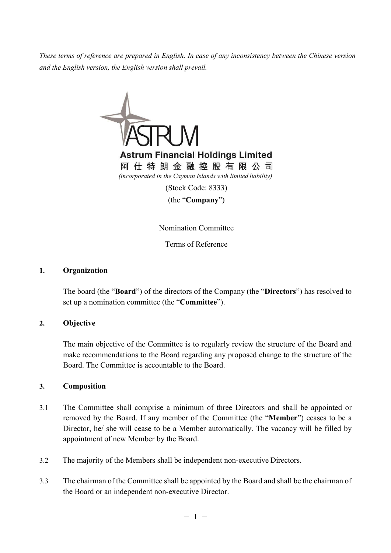*These terms of reference are prepared in English. In case of any inconsistency between the Chinese version and the English version, the English version shall prevail.*



(the "**Company**")

Nomination Committee

Terms of Reference

### **1. Organization**

The board (the "**Board**") of the directors of the Company (the "**Directors**") has resolved to set up a nomination committee (the "**Committee**").

## **2. Objective**

The main objective of the Committee is to regularly review the structure of the Board and make recommendations to the Board regarding any proposed change to the structure of the Board. The Committee is accountable to the Board.

#### **3. Composition**

- 3.1 The Committee shall comprise a minimum of three Directors and shall be appointed or removed by the Board. If any member of the Committee (the "**Member**") ceases to be a Director, he/ she will cease to be a Member automatically. The vacancy will be filled by appointment of new Member by the Board.
- 3.2 The majority of the Members shall be independent non-executive Directors.
- 3.3 The chairman of the Committee shall be appointed by the Board and shall be the chairman of the Board or an independent non-executive Director.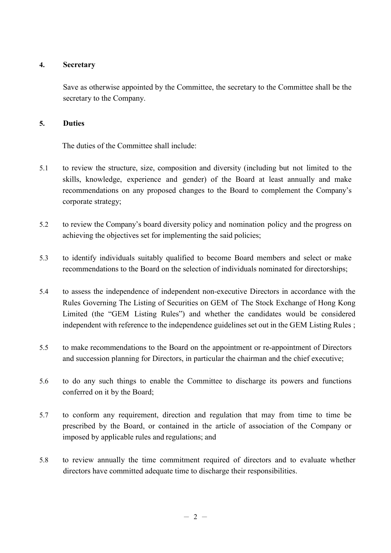## **4. Secretary**

Save as otherwise appointed by the Committee, the secretary to the Committee shall be the secretary to the Company.

### **5. Duties**

The duties of the Committee shall include:

- 5.1 to review the structure, size, composition and diversity (including but not limited to the skills, knowledge, experience and gender) of the Board at least annually and make recommendations on any proposed changes to the Board to complement the Company's corporate strategy;
- 5.2 to review the Company's board diversity policy and nomination policy and the progress on achieving the objectives set for implementing the said policies;
- 5.3 to identify individuals suitably qualified to become Board members and select or make recommendations to the Board on the selection of individuals nominated for directorships;
- 5.4 to assess the independence of independent non-executive Directors in accordance with the Rules Governing The Listing of Securities on GEM of The Stock Exchange of Hong Kong Limited (the "GEM Listing Rules") and whether the candidates would be considered independent with reference to the independence guidelines set out in the GEM Listing Rules ;
- 5.5 to make recommendations to the Board on the appointment or re-appointment of Directors and succession planning for Directors, in particular the chairman and the chief executive;
- 5.6 to do any such things to enable the Committee to discharge its powers and functions conferred on it by the Board;
- 5.7 to conform any requirement, direction and regulation that may from time to time be prescribed by the Board, or contained in the article of association of the Company or imposed by applicable rules and regulations; and
- 5.8 to review annually the time commitment required of directors and to evaluate whether directors have committed adequate time to discharge their responsibilities.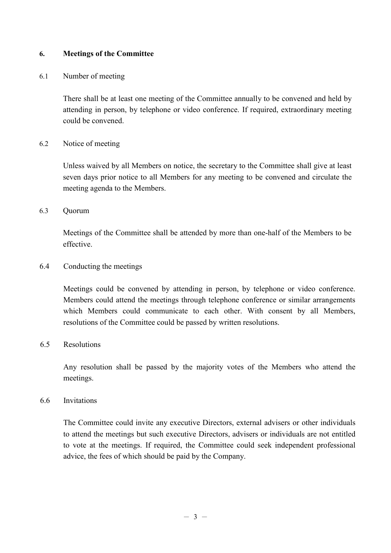## **6. Meetings of the Committee**

### 6.1 Number of meeting

There shall be at least one meeting of the Committee annually to be convened and held by attending in person, by telephone or video conference. If required, extraordinary meeting could be convened.

### 6.2 Notice of meeting

Unless waived by all Members on notice, the secretary to the Committee shall give at least seven days prior notice to all Members for any meeting to be convened and circulate the meeting agenda to the Members.

### 6.3 Quorum

Meetings of the Committee shall be attended by more than one-half of the Members to be effective.

## 6.4 Conducting the meetings

Meetings could be convened by attending in person, by telephone or video conference. Members could attend the meetings through telephone conference or similar arrangements which Members could communicate to each other. With consent by all Members, resolutions of the Committee could be passed by written resolutions.

## 6.5 Resolutions

Any resolution shall be passed by the majority votes of the Members who attend the meetings.

#### 6.6 Invitations

The Committee could invite any executive Directors, external advisers or other individuals to attend the meetings but such executive Directors, advisers or individuals are not entitled to vote at the meetings. If required, the Committee could seek independent professional advice, the fees of which should be paid by the Company.